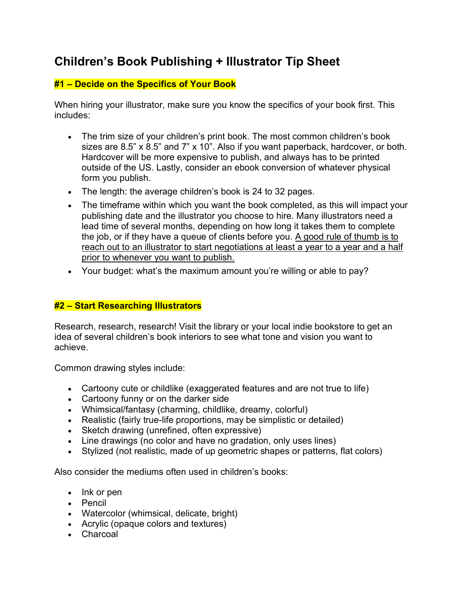# **Children's Book Publishing + Illustrator Tip Sheet**

# **#1 – Decide on the Specifics of Your Book**

When hiring your illustrator, make sure you know the specifics of your book first. This includes:

- The trim size of your children's print book. The most common children's book sizes are 8.5" x 8.5" and 7" x 10". Also if you want paperback, hardcover, or both. Hardcover will be more expensive to publish, and always has to be printed outside of the US. Lastly, consider an ebook conversion of whatever physical form you publish.
- The length: the average children's book is 24 to 32 pages.
- The timeframe within which you want the book completed, as this will impact your publishing date and the illustrator you choose to hire. Many illustrators need a lead time of several months, depending on how long it takes them to complete the job, or if they have a queue of clients before you. A good rule of thumb is to reach out to an illustrator to start negotiations at least a year to a year and a half prior to whenever you want to publish.
- Your budget: what's the maximum amount you're willing or able to pay?

# **#2 – Start Researching Illustrators**

Research, research, research! Visit the library or your local indie bookstore to get an idea of several children's book interiors to see what tone and vision you want to achieve.

Common drawing styles include:

- Cartoony cute or childlike (exaggerated features and are not true to life)
- Cartoony funny or on the darker side
- Whimsical/fantasy (charming, childlike, dreamy, colorful)
- Realistic (fairly true-life proportions, may be simplistic or detailed)
- Sketch drawing (unrefined, often expressive)
- Line drawings (no color and have no gradation, only uses lines)
- Stylized (not realistic, made of up geometric shapes or patterns, flat colors)

Also consider the mediums often used in children's books:

- Ink or pen
- Pencil
- Watercolor (whimsical, delicate, bright)
- Acrylic (opaque colors and textures)
- Charcoal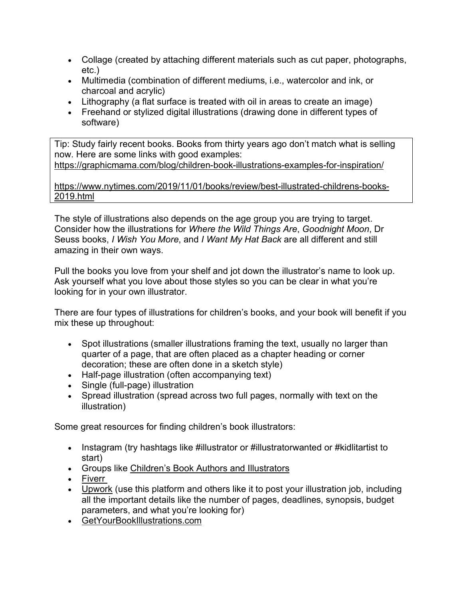- Collage (created by attaching different materials such as cut paper, photographs, etc.)
- Multimedia (combination of different mediums, i.e., watercolor and ink, or charcoal and acrylic)
- Lithography (a flat surface is treated with oil in areas to create an image)
- Freehand or stylized digital illustrations (drawing done in different types of software)

Tip: Study fairly recent books. Books from thirty years ago don't match what is selling now. Here are some links with good examples: https://graphicmama.com/blog/children-book-illustrations-examples-for-inspiration/

https://www.nytimes.com/2019/11/01/books/review/best-illustrated-childrens-books-2019.html

The style of illustrations also depends on the age group you are trying to target. Consider how the illustrations for *Where the Wild Things Are*, *Goodnight Moon*, Dr Seuss books, *I Wish You More*, and *I Want My Hat Back* are all different and still amazing in their own ways.

Pull the books you love from your shelf and jot down the illustrator's name to look up. Ask yourself what you love about those styles so you can be clear in what you're looking for in your own illustrator.

There are four types of illustrations for children's books, and your book will benefit if you mix these up throughout:

- Spot illustrations (smaller illustrations framing the text, usually no larger than quarter of a page, that are often placed as a chapter heading or corner decoration; these are often done in a sketch style)
- Half-page illustration (often accompanying text)
- Single (full-page) illustration
- Spread illustration (spread across two full pages, normally with text on the illustration)

Some great resources for finding children's book illustrators:

- Instagram (try hashtags like #illustrator or #illustratorwanted or #kidlitartist to start)
- Groups like Children's Book Authors and Illustrators
- Fiverr
- Upwork (use this platform and others like it to post your illustration job, including all the important details like the number of pages, deadlines, synopsis, budget parameters, and what you're looking for)
- GetYourBookIllustrations.com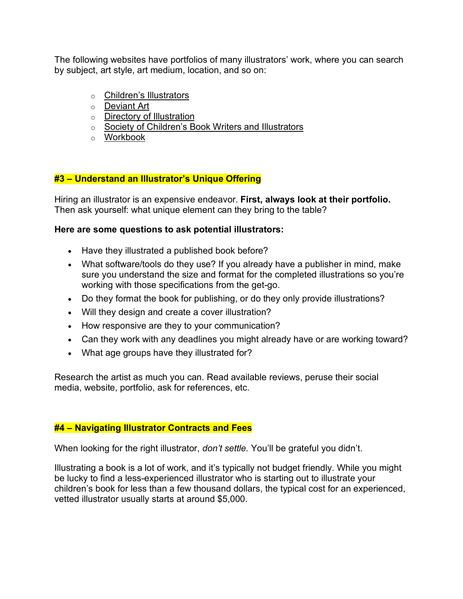The following websites have portfolios of many illustrators' work, where you can search by subject, art style, art medium, location, and so on:

- o Children's Illustrators
- o Deviant Art
- o **Directory of Illustration**
- o Society of Children's Book Writers and Illustrators
- o Workbook

# **#3 – Understand an Illustrator's Unique Offering**

Hiring an illustrator is an expensive endeavor. **First, always look at their portfolio.**  Then ask yourself: what unique element can they bring to the table?

#### **Here are some questions to ask potential illustrators:**

- Have they illustrated a published book before?
- What software/tools do they use? If you already have a publisher in mind, make sure you understand the size and format for the completed illustrations so you're working with those specifications from the get-go.
- Do they format the book for publishing, or do they only provide illustrations?
- Will they design and create a cover illustration?
- How responsive are they to your communication?
- Can they work with any deadlines you might already have or are working toward?
- What age groups have they illustrated for?

Research the artist as much you can. Read available reviews, peruse their social media, website, portfolio, ask for references, etc.

## **#4 – Navigating Illustrator Contracts and Fees**

When looking for the right illustrator, *don't settle.* You'll be grateful you didn't.

Illustrating a book is a lot of work, and it's typically not budget friendly. While you might be lucky to find a less-experienced illustrator who is starting out to illustrate your children's book for less than a few thousand dollars, the typical cost for an experienced, vetted illustrator usually starts at around \$5,000.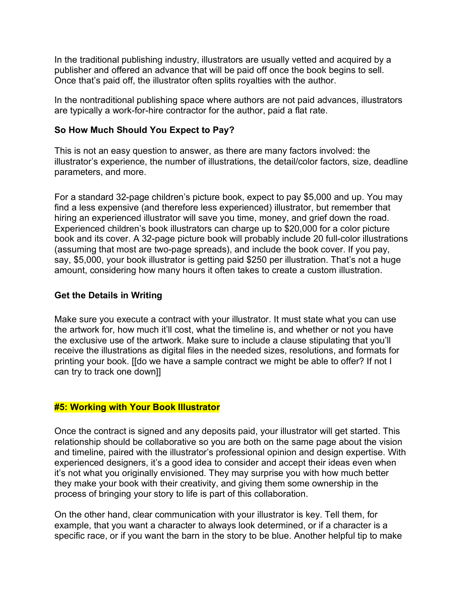In the traditional publishing industry, illustrators are usually vetted and acquired by a publisher and offered an advance that will be paid off once the book begins to sell. Once that's paid off, the illustrator often splits royalties with the author.

In the nontraditional publishing space where authors are not paid advances, illustrators are typically a work-for-hire contractor for the author, paid a flat rate.

# **So How Much Should You Expect to Pay?**

This is not an easy question to answer, as there are many factors involved: the illustrator's experience, the number of illustrations, the detail/color factors, size, deadline parameters, and more.

For a standard 32-page children's picture book, expect to pay \$5,000 and up. You may find a less expensive (and therefore less experienced) illustrator, but remember that hiring an experienced illustrator will save you time, money, and grief down the road. Experienced children's book illustrators can charge up to \$20,000 for a color picture book and its cover. A 32-page picture book will probably include 20 full-color illustrations (assuming that most are two-page spreads), and include the book cover. If you pay, say, \$5,000, your book illustrator is getting paid \$250 per illustration. That's not a huge amount, considering how many hours it often takes to create a custom illustration.

## **Get the Details in Writing**

Make sure you execute a contract with your illustrator. It must state what you can use the artwork for, how much it'll cost, what the timeline is, and whether or not you have the exclusive use of the artwork. Make sure to include a clause stipulating that you'll receive the illustrations as digital files in the needed sizes, resolutions, and formats for printing your book. [[do we have a sample contract we might be able to offer? If not I can try to track one down]]

## **#5: Working with Your Book Illustrator**

Once the contract is signed and any deposits paid, your illustrator will get started. This relationship should be collaborative so you are both on the same page about the vision and timeline, paired with the illustrator's professional opinion and design expertise. With experienced designers, it's a good idea to consider and accept their ideas even when it's not what you originally envisioned. They may surprise you with how much better they make your book with their creativity, and giving them some ownership in the process of bringing your story to life is part of this collaboration.

On the other hand, clear communication with your illustrator is key. Tell them, for example, that you want a character to always look determined, or if a character is a specific race, or if you want the barn in the story to be blue. Another helpful tip to make